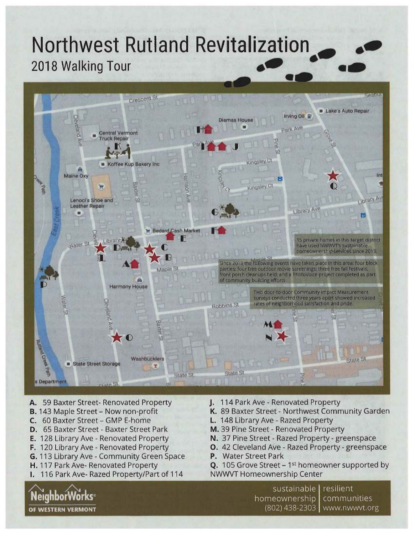# **Northwest Rutland Revitalization 2018 Walking Tour**



- A. 59 Baxter Street- Renovated Property
- **B.** 143 Maple Street Now non-profit
- C. 60 Baxter Street GMP E-home
- D. 65 Baxter Street Baxter Street Park
- E. 128 Library Ave Renovated Property
- F. 120 Library Ave Renovated Property
- G. 113 Library Ave Community Green Space
- H. 117 Park Ave- Renovated Property

**NeighborWorks OF WESTERN VERMONT** 

I. 116 Park Ave- Razed Property/Part of 114

- J. 114 Park Ave Renovated Property
- K. 89 Baxter Street Northwest Community Garden
- L. 148 Library Ave Razed Property
- M. 39 Pine Street Renovated Property
- N. 37 Pine Street Razed Property greenspace
- **0.** 42 Cleveland Ave Razed Property greenspace
- P. Water Street Park
- **Q.** 105 Grove Street 1<sup>st</sup> homeowner supported by NWWVT Homeownership Center

sustainable | resilient homeownership communities (802) 438-2303 www.nwwvt.org